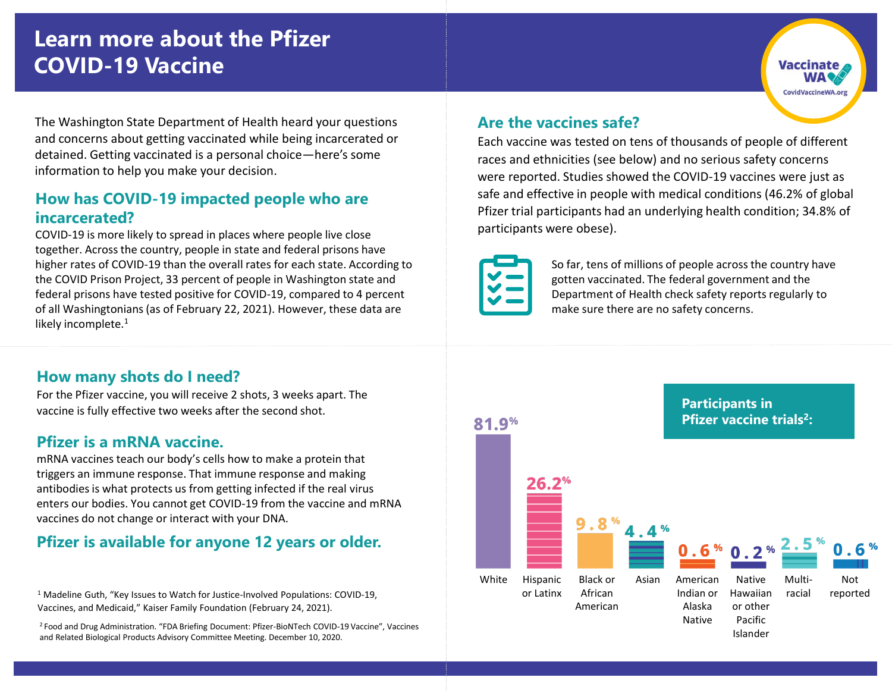# **Learn more about the Pfizer COVID-19 Vaccine**

The Washington State Department of Health heard your questions and concerns about getting vaccinated while being incarcerated or detained. Getting vaccinated is a personal choice—here's some information to help you make your decision.

#### **How has COVID-19 impacted people who are incarcerated?**

COVID-19 is more likely to spread in places where people live close together. Across the country, people in state and federal prisons have higher rates of COVID-19 than the overall rates for each state. According to the COVID Prison Project, 33 percent of people in Washington state and federal prisons have tested positive for COVID-19, compared to 4 percent of all Washingtonians (as of February 22, 2021). However, these data are likely incomplete. $1$ 

#### **How many shots do I need?**

For the Pfizer vaccine, you will receive 2 shots, 3 weeks apart. The vaccine is fully effective two weeks after the second shot.

#### **Pfizer is a mRNA vaccine.**

mRNA vaccines teach our body's cells how to make a protein that triggers an immune response. That immune response and making antibodies is what protects us from getting infected if the real virus enters our bodies. You cannot get COVID-19 from the vaccine and mRNA vaccines do not change or interact with your DNA.

# **Pfizer is available for anyone 12 years or older.**

<sup>1</sup> Madeline Guth, "Key Issues to Watch for Justice-Involved Populations: COVID-19, Vaccines, and Medicaid," Kaiser Family Foundation (February 24, 2021).

<sup>2</sup>Food and Drug Administration. "FDA Briefing Document: Pfizer-BioNTech COVID-19 Vaccine", Vaccines and Related Biological Products Advisory Committee Meeting. December 10, 2020.

#### **Are the vaccines safe?**

Each vaccine was tested on tens of thousands of people of different races and ethnicities (see below) and no serious safety concerns were reported. Studies showed the COVID-19 vaccines were just as safe and effective in people with medical conditions (46.2% of global Pfizer trial participants had an underlying health condition; 34.8% of participants were obese).



So far, tens of millions of people across the country have gotten vaccinated. The federal government and the Department of Health check safety reports regularly to make sure there are no safety concerns.

**Vaccinate** 

CovidVaccineWA.org